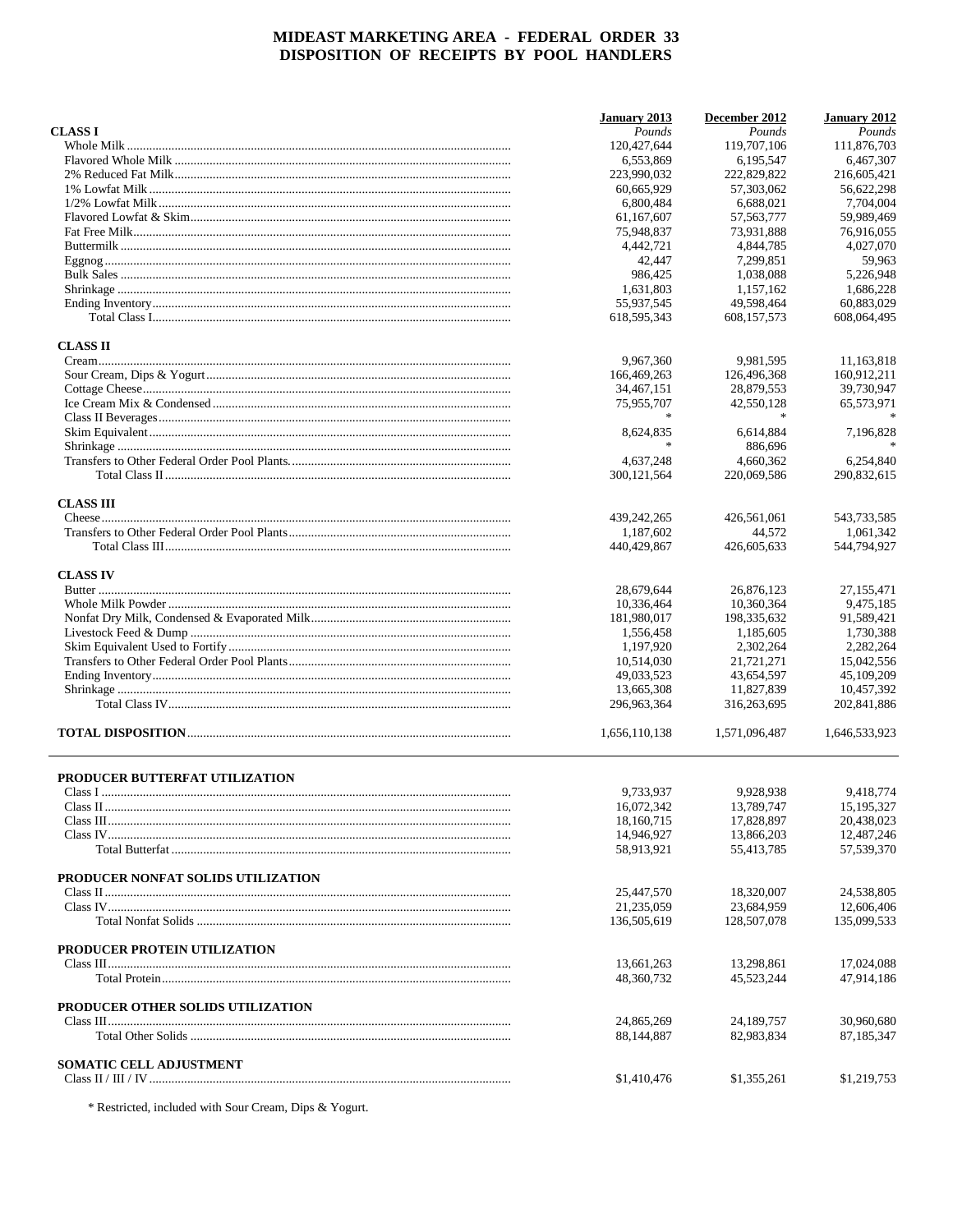|                                    | January 2013  | December 2012 | January 2012  |
|------------------------------------|---------------|---------------|---------------|
| <b>CLASS I</b>                     | Pounds        | Pounds        | Pounds        |
|                                    | 120,427,644   | 119.707.106   | 111,876,703   |
|                                    | 6,553,869     | 6.195.547     | 6.467.307     |
|                                    | 223,990,032   | 222,829,822   | 216,605,421   |
|                                    | 60,665,929    | 57,303,062    | 56,622,298    |
|                                    | 6.800.484     | 6,688,021     | 7,704,004     |
|                                    | 61, 167, 607  | 57, 563, 777  | 59,989,469    |
|                                    | 75,948,837    | 73,931,888    | 76,916,055    |
|                                    | 4,442,721     | 4,844,785     | 4,027,070     |
|                                    | 42,447        | 7,299,851     | 59,963        |
|                                    | 986,425       | 1,038,088     | 5,226,948     |
|                                    | 1,631,803     | 1,157,162     | 1,686,228     |
|                                    | 55,937,545    | 49,598,464    | 60,883,029    |
|                                    | 618,595,343   | 608, 157, 573 | 608,064,495   |
| <b>CLASS II</b>                    |               |               |               |
|                                    | 9,967,360     | 9,981,595     | 11,163,818    |
|                                    | 166,469,263   | 126,496,368   | 160,912,211   |
|                                    | 34,467,151    | 28,879,553    | 39,730,947    |
|                                    | 75,955,707    | 42,550,128    | 65,573,971    |
|                                    | 宋             | $\star$       |               |
|                                    | 8,624,835     | 6,614,884     | 7,196,828     |
|                                    | 宋             | 886,696       |               |
|                                    | 4,637,248     | 4,660,362     | 6,254,840     |
|                                    | 300, 121, 564 | 220,069,586   | 290,832,615   |
|                                    |               |               |               |
| <b>CLASS III</b>                   |               |               |               |
|                                    | 439,242,265   | 426,561,061   | 543,733,585   |
|                                    | 1,187,602     | 44,572        | 1.061.342     |
|                                    | 440,429,867   | 426,605,633   | 544,794,927   |
| <b>CLASS IV</b>                    |               |               |               |
|                                    | 28,679,644    | 26,876,123    | 27,155,471    |
|                                    | 10,336,464    | 10,360,364    | 9,475,185     |
|                                    | 181,980,017   | 198, 335, 632 | 91,589,421    |
|                                    | 1,556,458     | 1,185,605     | 1,730,388     |
|                                    | 1,197,920     | 2,302,264     | 2,282,264     |
|                                    | 10,514,030    | 21,721,271    | 15,042,556    |
|                                    | 49,033,523    | 43,654,597    | 45,109,209    |
|                                    | 13,665,308    | 11,827,839    | 10,457,392    |
|                                    | 296,963,364   | 316,263,695   | 202,841,886   |
|                                    | 1,656,110,138 | 1,571,096,487 | 1,646,533,923 |
|                                    |               |               |               |
| PRODUCER BUTTERFAT UTILIZATION     |               |               |               |
|                                    | 9,733,937     | 9,928,938     | 9,418,774     |
|                                    | 16,072,342    | 13,789,747    | 15,195,327    |
|                                    | 18,160,715    | 17,828,897    | 20,438,023    |
|                                    | 14,946,927    | 13,866,203    | 12,487,246    |
|                                    | 58,913,921    | 55,413,785    | 57,539,370    |
| PRODUCER NONFAT SOLIDS UTILIZATION |               |               |               |
|                                    | 25,447,570    | 18,320,007    | 24,538,805    |
|                                    | 21,235,059    | 23,684,959    | 12,606,406    |
|                                    | 136,505,619   | 128,507,078   | 135,099,533   |
| PRODUCER PROTEIN UTILIZATION       |               |               |               |
|                                    | 13,661,263    | 13,298,861    | 17,024,088    |
|                                    | 48,360,732    | 45,523,244    | 47,914,186    |
| PRODUCER OTHER SOLIDS UTILIZATION  |               |               |               |
|                                    | 24,865,269    | 24,189,757    | 30,960,680    |
|                                    | 88,144,887    | 82,983,834    | 87,185,347    |
| <b>SOMATIC CELL ADJUSTMENT</b>     |               |               |               |
|                                    | \$1,410,476   | \$1,355,261   | \$1,219,753   |
|                                    |               |               |               |

\* Restricted, included with Sour Cream, Dips & Yogurt.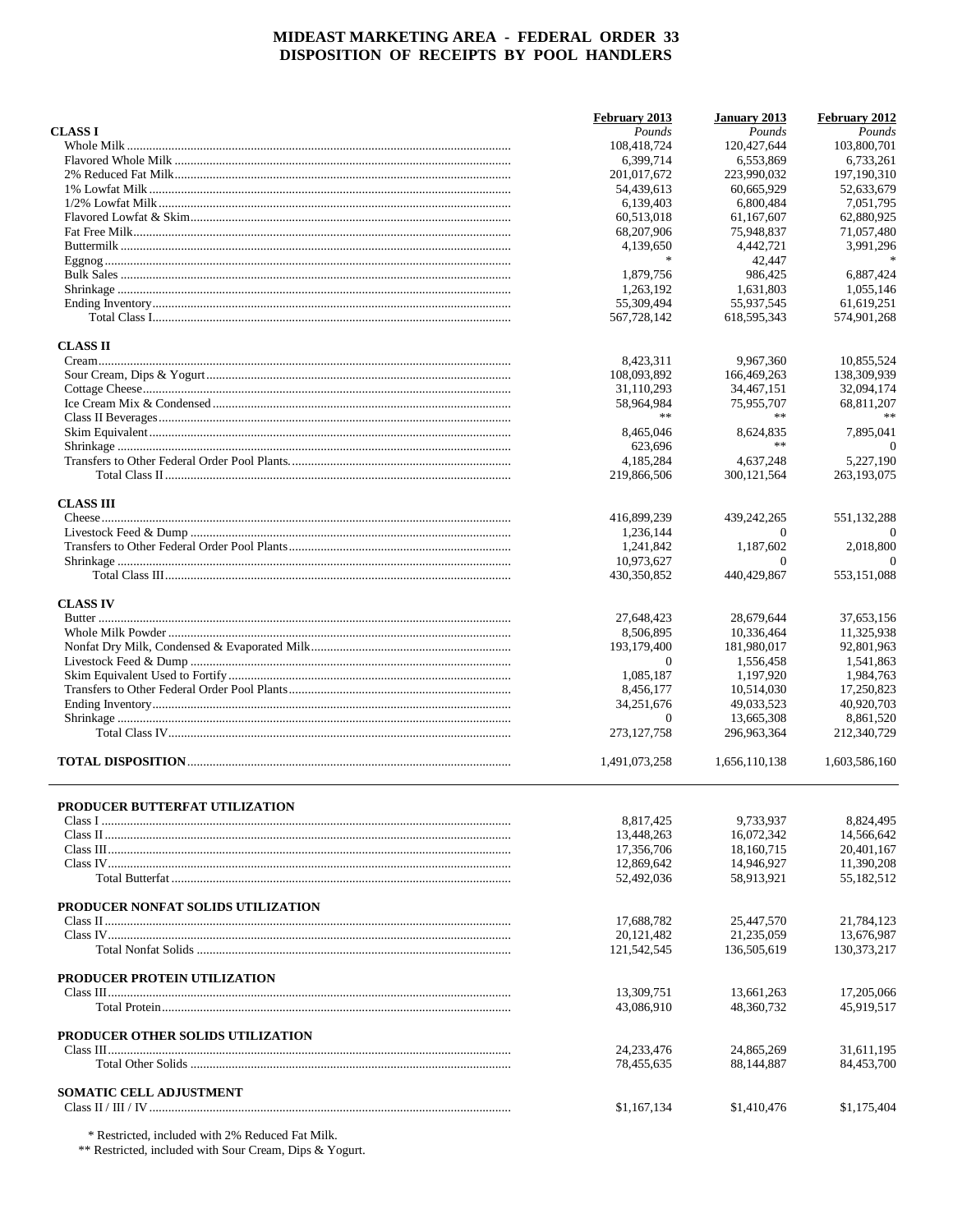|                                       | February 2013             | January 2013              | February 2012            |
|---------------------------------------|---------------------------|---------------------------|--------------------------|
| <b>CLASS I</b>                        | Pounds                    | Pounds                    | Pounds                   |
|                                       | 108,418,724               | 120,427,644               | 103,800,701              |
|                                       | 6,399,714                 | 6,553,869                 | 6,733,261                |
|                                       | 201,017,672               | 223,990,032               | 197,190,310              |
|                                       | 54,439,613                | 60,665,929                | 52,633,679               |
|                                       | 6,139,403                 | 6,800,484                 | 7.051.795                |
|                                       | 60,513,018                | 61,167,607                | 62,880,925               |
|                                       | 68,207,906                | 75,948,837                | 71,057,480               |
|                                       | 4,139,650                 | 4,442,721                 | 3,991,296                |
|                                       | $\frac{1}{2}$             | 42,447                    | $\frac{1}{2}$            |
|                                       | 1,879,756                 | 986,425                   | 6.887.424                |
|                                       | 1.263.192                 | 1,631,803                 | 1,055,146                |
|                                       | 55,309,494                | 55,937,545                | 61,619,251               |
|                                       | 567,728,142               | 618,595,343               | 574,901,268              |
| <b>CLASS II</b>                       |                           |                           |                          |
|                                       | 8,423,311                 | 9,967,360                 | 10,855,524               |
|                                       | 108,093,892               | 166,469,263               | 138,309,939              |
|                                       | 31,110,293                | 34,467,151                | 32,094,174               |
|                                       |                           |                           |                          |
|                                       | 58,964,984<br>**          | 75,955,707<br>**          | 68,811,207               |
|                                       |                           |                           |                          |
|                                       | 8,465,046                 | 8,624,835                 | 7,895,041                |
|                                       | 623,696                   | **                        | $\Omega$                 |
|                                       | 4,185,284                 | 4,637,248                 | 5,227,190                |
|                                       | 219,866,506               | 300, 121, 564             | 263,193,075              |
| <b>CLASS III</b>                      |                           |                           |                          |
|                                       | 416,899,239               | 439,242,265               | 551,132,288              |
|                                       | 1,236,144                 | $\Omega$                  | $\theta$                 |
|                                       | 1,241,842                 | 1,187,602                 | 2,018,800                |
|                                       | 10,973,627                | $\Omega$                  | $\Omega$                 |
|                                       | 430,350,852               | 440,429,867               | 553,151,088              |
| <b>CLASS IV</b>                       |                           |                           |                          |
|                                       | 27,648,423                | 28,679,644                | 37,653,156               |
|                                       | 8,506,895                 | 10,336,464                | 11,325,938               |
|                                       | 193,179,400               | 181,980,017               | 92,801,963               |
|                                       | $\theta$                  | 1,556,458                 | 1,541,863                |
|                                       | 1,085,187                 |                           |                          |
|                                       |                           | 1,197,920                 | 1,984,763                |
|                                       | 8,456,177                 | 10,514,030                | 17,250,823               |
|                                       | 34,251,676                | 49,033,523                | 40,920,703               |
|                                       | $\theta$<br>273, 127, 758 | 13,665,308<br>296,963,364 | 8,861,520<br>212,340,729 |
|                                       |                           |                           |                          |
|                                       | 1,491,073,258             | 1,656,110,138             | 1,603,586,160            |
| <b>PRODUCER BUTTERFAT UTILIZATION</b> |                           |                           |                          |
|                                       | 8,817,425                 | 9,733,937                 | 8,824,495                |
|                                       | 13,448,263                | 16,072,342                | 14,566,642               |
|                                       | 17,356,706                | 18,160,715                | 20,401,167               |
|                                       |                           | 14,946,927                | 11,390,208               |
|                                       | 12,869,642                |                           |                          |
|                                       | 52,492,036                | 58,913,921                | 55,182,512               |
| PRODUCER NONFAT SOLIDS UTILIZATION    |                           |                           |                          |
|                                       | 17,688,782                | 25,447,570                | 21,784,123               |
|                                       | 20,121,482                | 21.235.059                | 13,676,987               |
|                                       | 121,542,545               | 136,505,619               | 130, 373, 217            |
| PRODUCER PROTEIN UTILIZATION          |                           |                           |                          |
|                                       | 13,309,751                | 13,661,263                | 17,205,066               |
|                                       | 43,086,910                | 48,360,732                | 45,919,517               |
|                                       |                           |                           |                          |
| PRODUCER OTHER SOLIDS UTILIZATION     |                           |                           |                          |
|                                       | 24, 233, 476              | 24,865,269                | 31,611,195               |
|                                       | 78,455,635                | 88,144,887                | 84,453,700               |
| <b>SOMATIC CELL ADJUSTMENT</b>        |                           |                           |                          |
|                                       | \$1,167,134               | \$1,410,476               | \$1,175,404              |
|                                       |                           |                           |                          |

 $^\ast$  Restricted, included with 2% Reduced Fat Milk.  $^{\ast\ast}$  Restricted, included with Sour Cream, Dips & Yogurt.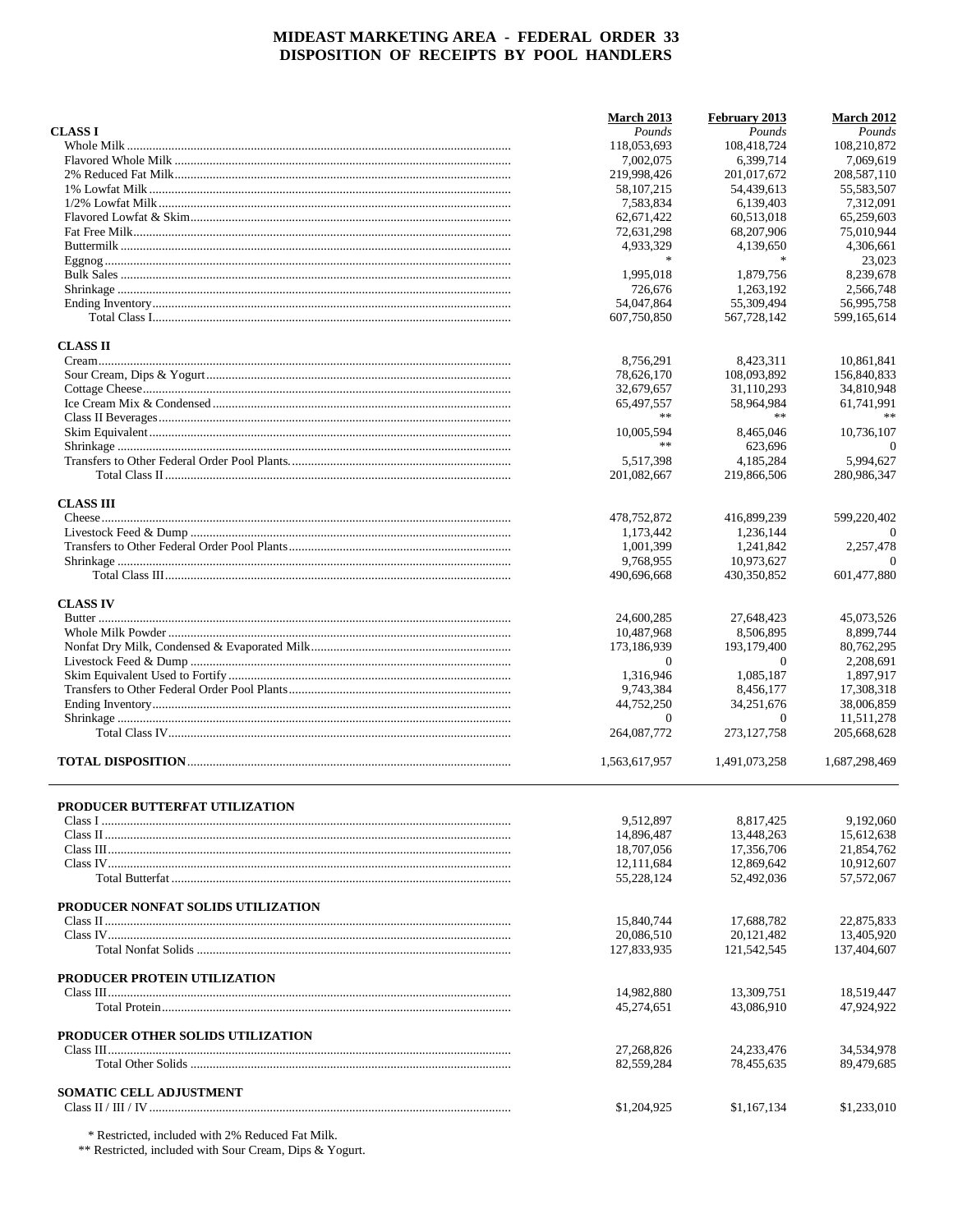|                                     | March 2013    | February 2013 | <b>March 2012</b> |
|-------------------------------------|---------------|---------------|-------------------|
| <b>CLASS I</b>                      | Pounds        | Pounds        | Pounds            |
|                                     | 118,053,693   | 108,418,724   | 108,210,872       |
|                                     | 7,002,075     | 6,399,714     | 7,069,619         |
|                                     | 219,998,426   | 201,017,672   | 208,587,110       |
|                                     | 58, 107, 215  | 54,439,613    | 55,583,507        |
|                                     | 7,583,834     | 6,139,403     | 7,312,091         |
|                                     | 62,671,422    | 60,513,018    | 65,259,603        |
|                                     | 72,631,298    | 68,207,906    | 75,010,944        |
|                                     | 4,933,329     | 4,139,650     | 4,306,661         |
|                                     | $\frac{1}{2}$ | $\ast$        | 23,023            |
|                                     | 1,995,018     | 1,879,756     | 8.239.678         |
|                                     | 726,676       | 1,263,192     | 2.566.748         |
|                                     | 54,047,864    | 55,309,494    | 56,995,758        |
|                                     | 607,750,850   | 567,728,142   | 599,165,614       |
| <b>CLASS II</b>                     |               |               |                   |
|                                     | 8,756,291     | 8,423,311     | 10,861,841        |
|                                     | 78,626,170    | 108,093,892   | 156,840,833       |
|                                     | 32,679,657    | 31,110,293    | 34,810,948        |
|                                     | 65,497,557    | 58,964,984    | 61,741,991        |
|                                     | **            | $**$          |                   |
|                                     |               |               |                   |
|                                     | 10,005,594    | 8,465,046     | 10.736.107        |
|                                     | **            | 623,696       | $\theta$          |
|                                     | 5,517,398     | 4,185,284     | 5,994,627         |
|                                     | 201,082,667   | 219,866,506   | 280,986,347       |
| <b>CLASS III</b>                    |               |               |                   |
|                                     | 478,752,872   | 416,899,239   | 599,220,402       |
|                                     | 1,173,442     | 1,236,144     | $\Omega$          |
|                                     | 1,001,399     | 1,241,842     | 2,257,478         |
|                                     | 9,768,955     | 10,973,627    | $\Omega$          |
|                                     | 490,696,668   | 430,350,852   | 601,477,880       |
| <b>CLASS IV</b>                     |               |               |                   |
|                                     | 24,600,285    | 27,648,423    | 45,073,526        |
|                                     | 10,487,968    | 8,506,895     | 8,899,744         |
|                                     | 173,186,939   | 193,179,400   | 80,762,295        |
|                                     | $\theta$      | $\theta$      | 2,208,691         |
|                                     | 1,316,946     | 1,085,187     | 1,897,917         |
|                                     | 9,743,384     | 8,456,177     | 17,308,318        |
|                                     | 44,752,250    | 34,251,676    | 38,006,859        |
|                                     | $\Omega$      | $\Omega$      | 11,511,278        |
|                                     | 264,087,772   | 273, 127, 758 | 205,668,628       |
|                                     | 1,563,617,957 | 1,491,073,258 | 1,687,298,469     |
|                                     |               |               |                   |
| PRODUCER BUTTERFAT UTILIZATION      | 9,512,897     | 8,817,425     | 9,192,060         |
|                                     | 14,896,487    | 13,448,263    | 15,612,638        |
|                                     | 18,707,056    | 17,356,706    | 21,854,762        |
|                                     | 12,111,684    | 12,869,642    | 10,912,607        |
|                                     | 55,228,124    | 52,492,036    | 57,572,067        |
|                                     |               |               |                   |
| PRODUCER NONFAT SOLIDS UTILIZATION  |               |               |                   |
|                                     | 15,840,744    | 17.688.782    | 22,875,833        |
|                                     | 20,086,510    | 20,121,482    | 13,405,920        |
|                                     | 127,833,935   | 121,542,545   | 137,404,607       |
| <b>PRODUCER PROTEIN UTILIZATION</b> |               |               |                   |
|                                     | 14,982,880    | 13,309,751    | 18,519,447        |
|                                     | 45,274,651    | 43,086,910    | 47,924,922        |
| PRODUCER OTHER SOLIDS UTILIZATION   |               |               |                   |
|                                     | 27,268,826    | 24, 233, 476  | 34,534,978        |
|                                     | 82,559,284    | 78,455,635    | 89,479,685        |
| <b>SOMATIC CELL ADJUSTMENT</b>      |               |               |                   |
|                                     | \$1,204,925   | \$1,167,134   | \$1,233,010       |
|                                     |               |               |                   |

 $^\ast$  Restricted, included with 2% Reduced Fat Milk.  $^{\ast\ast}$  Restricted, included with Sour Cream, Dips & Yogurt.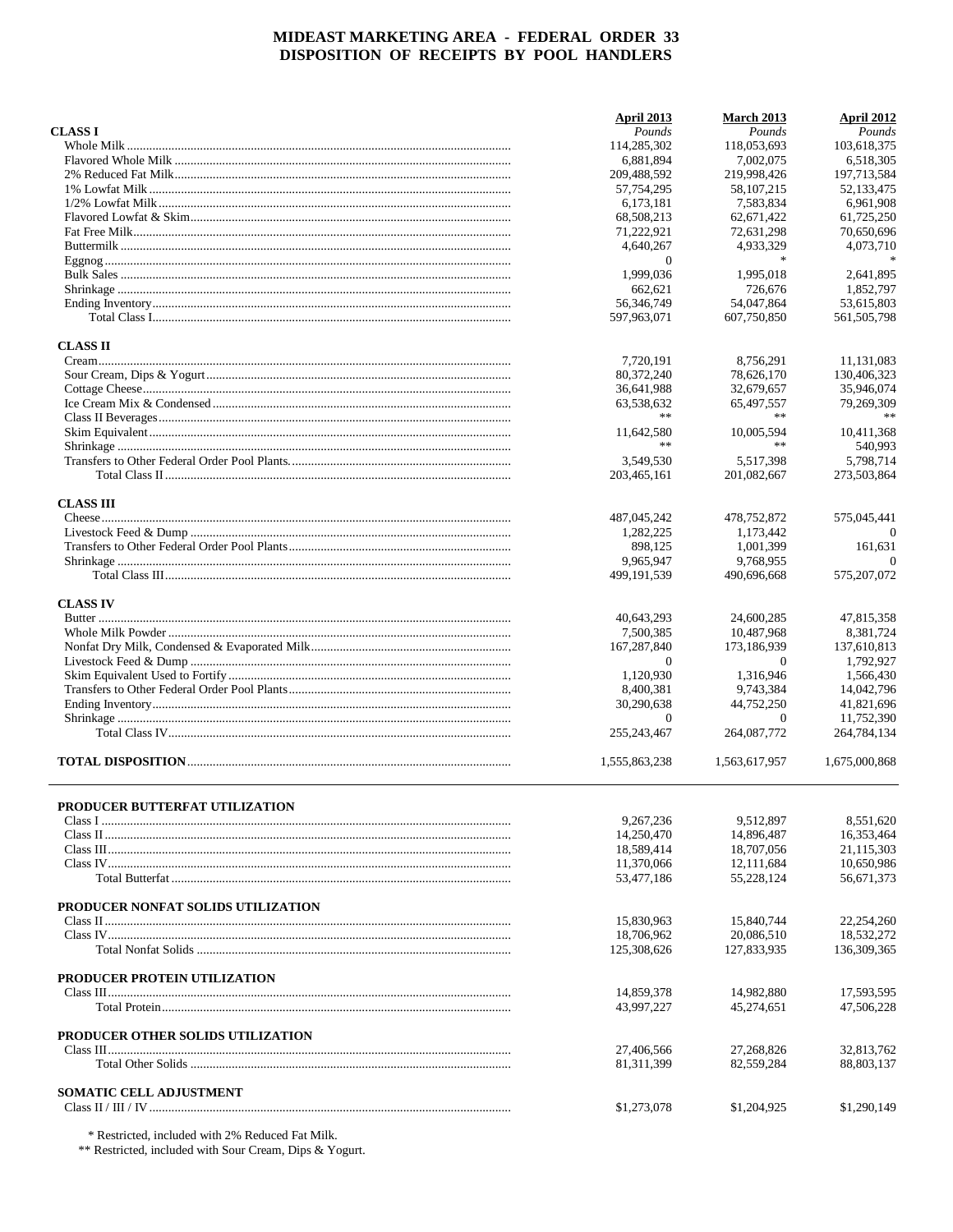|                                     | <b>April 2013</b> | <b>March 2013</b> | April 2012    |
|-------------------------------------|-------------------|-------------------|---------------|
| <b>CLASS I</b>                      | Pounds            | Pounds            | Pounds        |
|                                     | 114,285,302       | 118,053,693       | 103,618,375   |
|                                     | 6,881,894         | 7,002,075         | 6.518.305     |
|                                     | 209,488,592       | 219,998,426       | 197,713,584   |
|                                     | 57,754,295        | 58, 107, 215      | 52,133,475    |
|                                     | 6,173,181         | 7,583,834         | 6,961,908     |
|                                     | 68,508,213        | 62, 671, 422      | 61,725,250    |
|                                     | 71,222,921        | 72,631,298        | 70,650,696    |
|                                     | 4,640,267         | 4,933,329         | 4,073,710     |
|                                     | $\overline{0}$    | $\ast$            |               |
|                                     | 1,999,036         | 1,995,018         | 2,641,895     |
|                                     | 662,621           | 726,676           | 1.852.797     |
|                                     | 56,346,749        | 54,047,864        | 53.615.803    |
|                                     | 597,963,071       | 607,750,850       | 561, 505, 798 |
| <b>CLASS II</b>                     |                   |                   |               |
|                                     | 7,720,191         | 8,756,291         | 11,131,083    |
|                                     | 80,372,240        | 78,626,170        | 130,406,323   |
|                                     | 36,641,988        | 32,679,657        | 35,946,074    |
|                                     | 63,538,632        | 65,497,557        | 79,269,309    |
|                                     | **                | **                | **            |
|                                     |                   |                   |               |
|                                     | 11,642,580<br>**  | 10,005,594<br>**  | 10,411,368    |
|                                     |                   |                   | 540,993       |
|                                     | 3,549,530         | 5,517,398         | 5,798,714     |
|                                     | 203,465,161       | 201.082.667       | 273,503,864   |
| <b>CLASS III</b>                    |                   |                   |               |
|                                     | 487,045,242       | 478,752,872       | 575,045,441   |
|                                     | 1,282,225         | 1,173,442         | $\Omega$      |
|                                     | 898,125           | 1,001,399         | 161.631       |
|                                     | 9,965,947         | 9,768,955         | $\Omega$      |
|                                     | 499,191,539       | 490,696,668       | 575,207,072   |
| <b>CLASS IV</b>                     |                   |                   |               |
|                                     | 40,643,293        | 24,600,285        | 47,815,358    |
|                                     | 7,500,385         | 10,487,968        | 8,381,724     |
|                                     | 167,287,840       | 173,186,939       | 137,610,813   |
|                                     | $\theta$          | $\theta$          | 1,792,927     |
|                                     | 1,120,930         | 1,316,946         | 1,566,430     |
|                                     | 8,400,381         | 9,743,384         | 14,042,796    |
|                                     | 30,290,638        | 44,752,250        | 41,821,696    |
|                                     | $\Omega$          | $\Omega$          | 11,752,390    |
|                                     | 255, 243, 467     | 264,087,772       | 264,784,134   |
|                                     | 1,555,863,238     | 1,563,617,957     | 1,675,000,868 |
|                                     |                   |                   |               |
| PRODUCER BUTTERFAT UTILIZATION      | 9,267,236         | 9.512.897         | 8,551,620     |
|                                     | 14,250,470        | 14,896,487        | 16,353,464    |
|                                     | 18,589,414        | 18,707,056        | 21,115,303    |
|                                     | 11,370,066        | 12,111,684        | 10,650,986    |
|                                     | 53,477,186        | 55,228,124        | 56,671,373    |
|                                     |                   |                   |               |
| PRODUCER NONFAT SOLIDS UTILIZATION  |                   |                   |               |
|                                     | 15,830,963        | 15,840,744        | 22,254,260    |
|                                     | 18,706,962        | 20,086,510        | 18,532,272    |
|                                     | 125,308,626       | 127.833.935       | 136,309,365   |
| <b>PRODUCER PROTEIN UTILIZATION</b> |                   |                   |               |
|                                     | 14,859,378        | 14,982,880        | 17,593,595    |
|                                     | 43,997,227        | 45,274,651        | 47,506,228    |
| PRODUCER OTHER SOLIDS UTILIZATION   |                   |                   |               |
|                                     | 27,406,566        | 27,268,826        | 32,813,762    |
|                                     | 81, 311, 399      | 82,559,284        | 88,803,137    |
|                                     |                   |                   |               |
| <b>SOMATIC CELL ADJUSTMENT</b>      |                   |                   |               |
|                                     | \$1,273,078       | \$1,204,925       | \$1,290,149   |

 $^\ast$  Restricted, included with 2% Reduced Fat Milk.  $^{\ast\ast}$  Restricted, included with Sour Cream, Dips & Yogurt.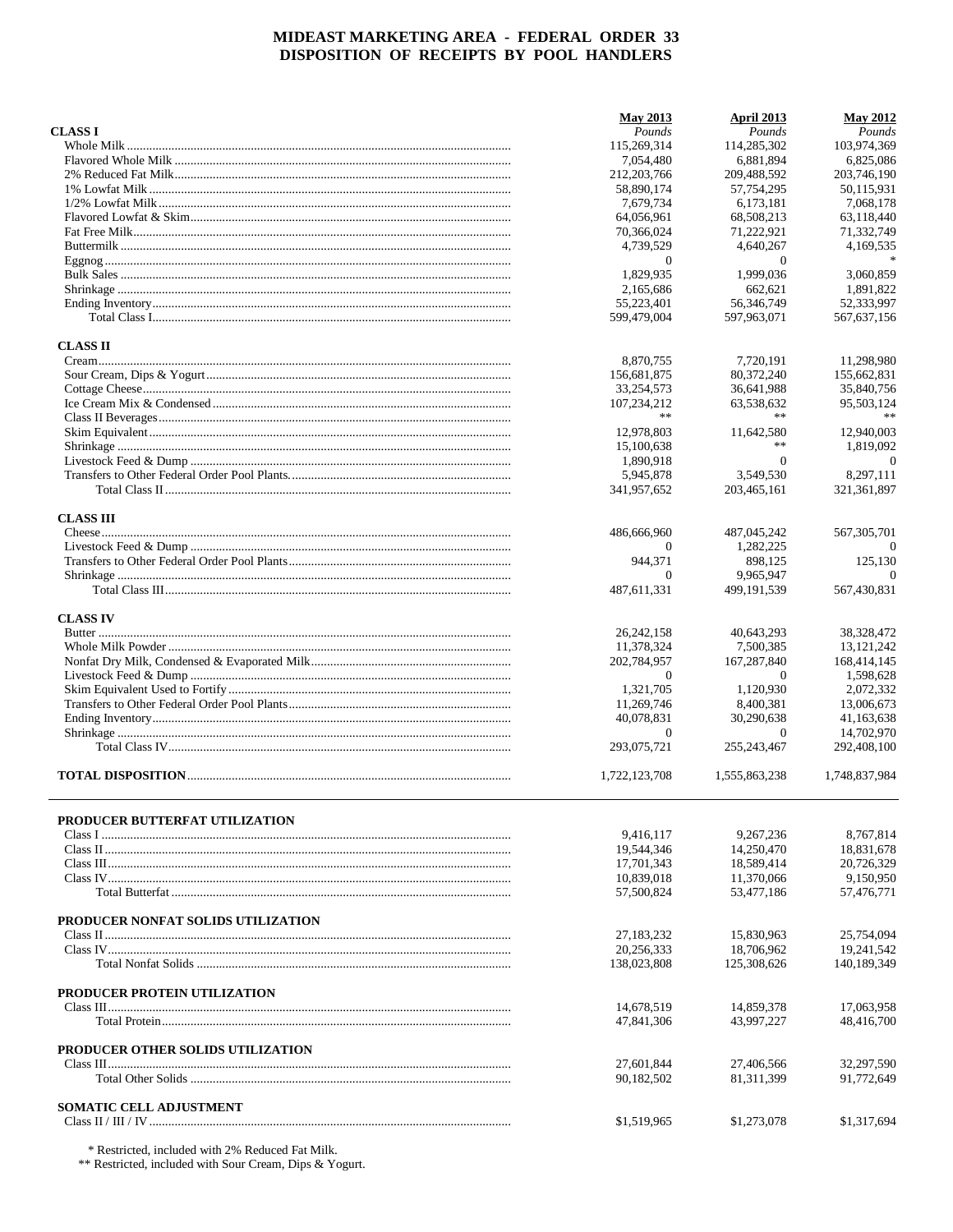|                                    | <b>May 2013</b> | April 2013     | <b>May 2012</b> |
|------------------------------------|-----------------|----------------|-----------------|
| <b>CLASS I</b>                     | Pounds          | Pounds         | Pounds          |
|                                    | 115,269,314     | 114.285.302    | 103,974,369     |
|                                    | 7,054,480       | 6,881,894      | 6,825,086       |
|                                    | 212, 203, 766   | 209,488,592    | 203,746,190     |
|                                    | 58,890,174      | 57,754,295     | 50.115.931      |
|                                    | 7,679,734       | 6,173,181      | 7.068.178       |
|                                    | 64.056.961      | 68,508,213     | 63,118,440      |
|                                    | 70,366,024      | 71,222,921     | 71,332,749      |
|                                    | 4,739,529       | 4,640,267      | 4,169,535       |
|                                    | $\overline{0}$  | $\theta$       |                 |
|                                    | 1,829,935       | 1,999,036      | 3,060,859       |
|                                    | 2.165.686       | 662,621        | 1,891,822       |
|                                    | 55,223,401      | 56,346,749     | 52,333,997      |
|                                    | 599.479.004     | 597.963.071    | 567, 637, 156   |
| <b>CLASS II</b>                    |                 |                |                 |
|                                    | 8,870,755       | 7,720,191      | 11,298,980      |
|                                    | 156,681,875     | 80,372,240     | 155,662,831     |
|                                    | 33,254,573      | 36,641,988     | 35,840,756      |
|                                    | 107,234,212     | 63,538,632     | 95,503,124      |
|                                    | **              | **             |                 |
|                                    | 12,978,803      | 11,642,580     | 12,940,003      |
|                                    | 15,100,638      | **             | 1,819,092       |
|                                    | 1,890,918       | $\overline{0}$ | $\theta$        |
|                                    | 5,945,878       | 3,549,530      | 8,297,111       |
|                                    | 341,957,652     | 203,465,161    | 321, 361, 897   |
| <b>CLASS III</b>                   |                 |                |                 |
|                                    | 486,666,960     | 487,045,242    | 567, 305, 701   |
|                                    | 0               | 1,282,225      |                 |
|                                    | 944,371         | 898,125        | 125,130         |
|                                    | $\Omega$        | 9,965,947      | $\Omega$        |
|                                    | 487,611,331     | 499, 191, 539  | 567,430,831     |
| <b>CLASS IV</b>                    |                 |                |                 |
|                                    | 26, 242, 158    | 40,643,293     | 38,328,472      |
|                                    | 11,378,324      | 7,500,385      | 13, 121, 242    |
|                                    | 202,784,957     | 167,287,840    | 168,414,145     |
|                                    | $\mathbf{0}$    | $\theta$       | 1,598,628       |
|                                    | 1,321,705       | 1,120,930      | 2,072,332       |
|                                    | 11,269,746      | 8,400,381      | 13,006,673      |
|                                    | 40,078,831      | 30.290.638     | 41,163,638      |
|                                    | $\mathbf{0}$    | $\theta$       | 14,702,970      |
|                                    | 293,075,721     | 255, 243, 467  | 292,408,100     |
|                                    |                 |                |                 |
|                                    | 1,722,123,708   | 1,555,863,238  | 1,748,837,984   |
|                                    |                 |                |                 |
| PRODUCER BUTTERFAT UTILIZATION     | 9.416,117       | 9.267.236      | 8,767,814       |
|                                    | 19,544,346      | 14,250,470     | 18,831,678      |
|                                    | 17,701,343      | 18,589,414     | 20.726.329      |
|                                    | 10,839,018      | 11,370,066     | 9,150,950       |
|                                    | 57,500,824      | 53,477,186     | 57,476,771      |
|                                    |                 |                |                 |
| PRODUCER NONFAT SOLIDS UTILIZATION |                 |                |                 |
|                                    | 27,183,232      | 15,830,963     | 25,754,094      |
|                                    | 20.256.333      | 18,706,962     | 19,241,542      |
|                                    | 138,023,808     | 125,308,626    | 140,189,349     |
| PRODUCER PROTEIN UTILIZATION       |                 |                |                 |
|                                    | 14,678,519      | 14,859,378     | 17,063,958      |
|                                    | 47,841,306      | 43,997,227     | 48,416,700      |
| PRODUCER OTHER SOLIDS UTILIZATION  |                 |                |                 |
|                                    | 27,601,844      | 27,406,566     | 32,297,590      |
|                                    | 90,182,502      | 81,311,399     | 91,772,649      |
| <b>SOMATIC CELL ADJUSTMENT</b>     |                 |                |                 |
|                                    | \$1,519,965     | \$1,273,078    | \$1,317,694     |
|                                    |                 |                |                 |

\* Restricted, included with 2% Reduced Fat Milk.

\*\* Restricted, included with Sour Cream, Dips & Yogurt.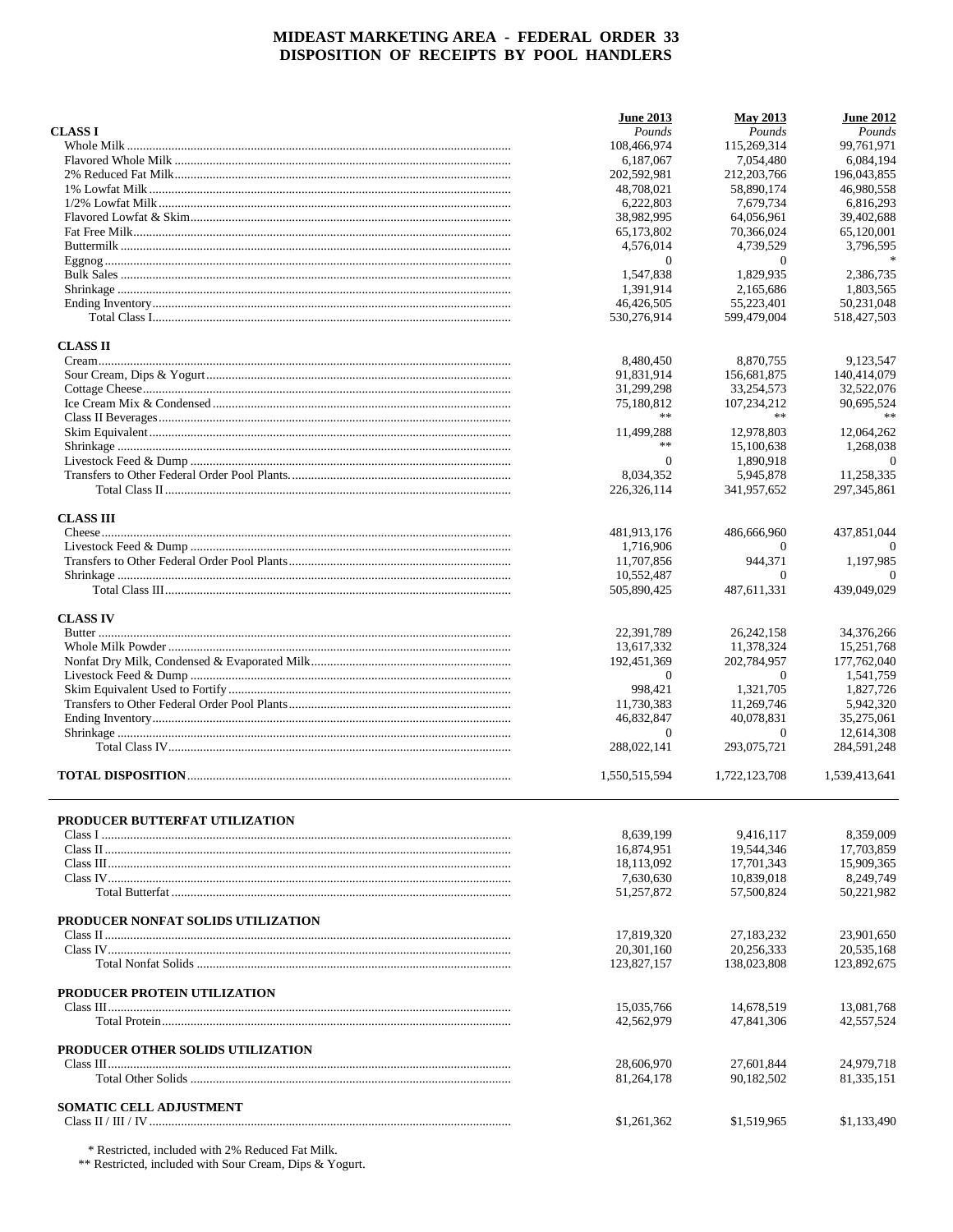|                                    | <b>June 2013</b> | <b>May 2013</b>   | <b>June 2012</b> |
|------------------------------------|------------------|-------------------|------------------|
| <b>CLASS I</b>                     | Pounds           | Pounds            | Pounds           |
|                                    | 108,466,974      | 115.269.314       | 99,761,971       |
|                                    | 6,187,067        | 7.054.480         | 6,084,194        |
|                                    | 202,592,981      | 212, 203, 766     | 196,043,855      |
|                                    | 48,708,021       | 58,890,174        | 46,980,558       |
|                                    | 6.222.803        |                   |                  |
|                                    |                  | 7,679,734         | 6,816,293        |
|                                    | 38,982,995       | 64,056,961        | 39,402,688       |
|                                    | 65,173,802       | 70,366,024        | 65,120,001       |
|                                    | 4,576,014        | 4,739,529         | 3,796,595        |
|                                    | $\theta$         | $\overline{0}$    |                  |
|                                    | 1.547.838        | 1,829,935         | 2.386.735        |
|                                    | 1.391.914        | 2,165,686         | 1.803.565        |
|                                    | 46,426,505       | 55,223,401        | 50,231,048       |
|                                    | 530,276,914      | 599,479,004       | 518,427,503      |
| <b>CLASS II</b>                    |                  |                   |                  |
|                                    | 8,480,450        | 8,870,755         | 9,123,547        |
|                                    | 91,831,914       | 156,681,875       | 140,414,079      |
|                                    | 31,299,298       | 33,254,573        | 32,522,076       |
|                                    |                  |                   | 90,695,524       |
|                                    | 75,180,812<br>** | 107,234,212<br>** | $\ast\ast$       |
|                                    |                  |                   |                  |
|                                    | 11,499,288       | 12,978,803        | 12,064,262       |
|                                    | **               | 15,100,638        | 1,268,038        |
|                                    | $\theta$         | 1,890,918         | $\overline{0}$   |
|                                    | 8.034.352        | 5,945,878         | 11,258,335       |
|                                    | 226, 326, 114    | 341,957,652       | 297, 345, 861    |
| <b>CLASS III</b>                   |                  |                   |                  |
|                                    | 481,913,176      | 486,666,960       | 437,851,044      |
|                                    | 1,716,906        | $^{(1)}$          |                  |
|                                    | 11,707,856       | 944,371           | 1,197,985        |
|                                    | 10,552,487       | $\Omega$          | $\Omega$         |
|                                    | 505,890,425      | 487,611,331       | 439,049,029      |
|                                    |                  |                   |                  |
| <b>CLASS IV</b>                    |                  |                   |                  |
|                                    | 22,391,789       | 26, 242, 158      | 34,376,266       |
|                                    | 13,617,332       | 11,378,324        | 15,251,768       |
|                                    | 192,451,369      | 202,784,957       | 177,762,040      |
|                                    | $\Omega$         | 0                 | 1,541,759        |
|                                    | 998,421          | 1,321,705         | 1,827,726        |
|                                    | 11,730,383       | 11,269,746        | 5,942,320        |
|                                    |                  | 40.078.831        |                  |
|                                    | 46,832,847       |                   | 35,275,061       |
|                                    | $\mathbf{0}$     | 0                 | 12,614,308       |
|                                    | 288,022,141      | 293,075,721       | 284,591,248      |
|                                    | 1,550,515,594    | 1,722,123,708     | 1,539,413,641    |
|                                    |                  |                   |                  |
| PRODUCER BUTTERFAT UTILIZATION     |                  | 9.416.117         |                  |
|                                    | 8,639,199        |                   | 8,359,009        |
|                                    | 16,874,951       | 19,544,346        | 17,703,859       |
|                                    | 18,113,092       | 17,701,343        | 15,909,365       |
|                                    | 7,630,630        | 10,839,018        | 8,249,749        |
|                                    | 51,257,872       | 57,500,824        | 50,221,982       |
| PRODUCER NONFAT SOLIDS UTILIZATION |                  |                   |                  |
|                                    | 17,819,320       | 27,183,232        | 23,901,650       |
|                                    | 20,301,160       | 20,256,333        | 20,535,168       |
|                                    | 123,827,157      | 138,023,808       | 123,892,675      |
| PRODUCER PROTEIN UTILIZATION       |                  |                   |                  |
|                                    | 15,035,766       | 14,678,519        | 13,081,768       |
|                                    | 42,562,979       | 47,841,306        | 42,557,524       |
| PRODUCER OTHER SOLIDS UTILIZATION  |                  |                   |                  |
|                                    | 28,606,970       | 27,601,844        | 24,979,718       |
|                                    | 81,264,178       | 90,182,502        | 81,335,151       |
|                                    |                  |                   |                  |
| <b>SOMATIC CELL ADJUSTMENT</b>     | \$1,261,362      | \$1,519,965       | \$1,133,490      |
|                                    |                  |                   |                  |

\* Restricted, included with 2% Reduced Fat Milk.

\*\* Restricted, included with Sour Cream, Dips & Yogurt.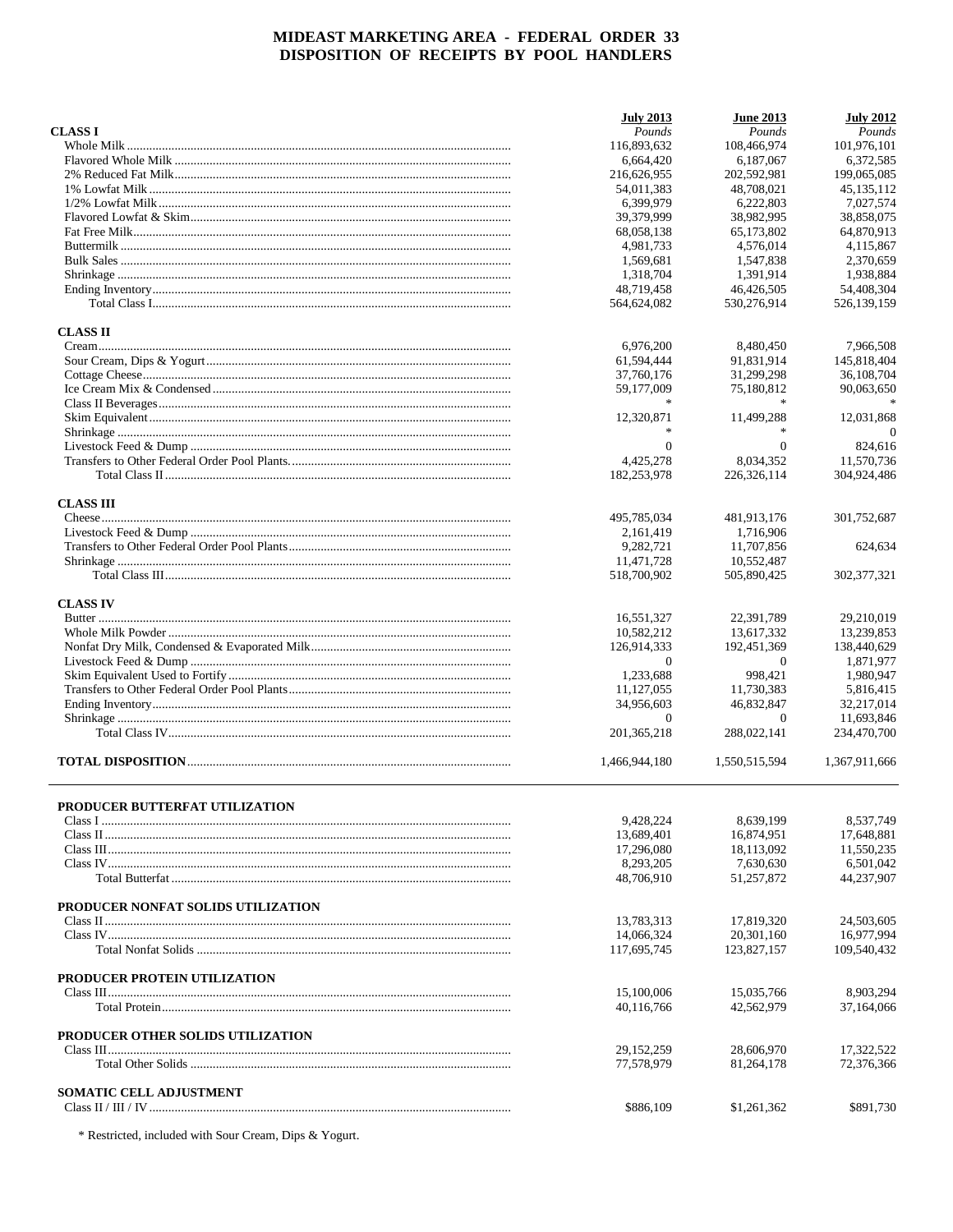|                                       | <b>July 2013</b> | <b>June 2013</b> | <b>July 2012</b> |
|---------------------------------------|------------------|------------------|------------------|
| <b>CLASS I</b>                        | Pounds           | Pounds           | Pounds           |
|                                       | 116,893,632      | 108,466,974      | 101,976,101      |
|                                       | 6.664.420        | 6,187,067        | 6,372,585        |
|                                       | 216,626,955      | 202,592,981      | 199,065,085      |
|                                       | 54.011.383       | 48,708,021       | 45, 135, 112     |
|                                       | 6,399,979        | 6.222.803        | 7,027,574        |
|                                       | 39,379,999       | 38,982,995       | 38,858,075       |
|                                       | 68,058,138       | 65,173,802       | 64,870,913       |
|                                       | 4,981,733        | 4,576,014        | 4,115,867        |
|                                       | 1,569,681        | 1,547,838        | 2,370,659        |
|                                       | 1,318,704        | 1.391.914        | 1,938,884        |
|                                       | 48,719,458       | 46,426,505       | 54,408,304       |
|                                       | 564,624,082      | 530,276,914      | 526,139,159      |
| <b>CLASS II</b>                       |                  |                  |                  |
|                                       | 6,976,200        | 8,480,450        | 7,966,508        |
|                                       | 61,594,444       | 91,831,914       | 145,818,404      |
|                                       | 37,760,176       | 31,299,298       | 36,108,704       |
|                                       | 59,177,009       | 75,180,812       | 90,063,650       |
|                                       |                  |                  |                  |
|                                       | 12,320,871       | 11,499,288       | 12,031,868       |
|                                       |                  |                  | $\Omega$         |
|                                       | $\Omega$         | $\Omega$         | 824,616          |
|                                       | 4,425,278        | 8,034,352        | 11,570,736       |
|                                       | 182,253,978      | 226, 326, 114    | 304,924,486      |
| <b>CLASS III</b>                      |                  |                  |                  |
|                                       | 495,785,034      | 481,913,176      | 301,752,687      |
|                                       | 2,161,419        | 1,716,906        |                  |
|                                       | 9,282,721        | 11,707,856       | 624,634          |
|                                       | 11,471,728       | 10,552,487       |                  |
|                                       | 518,700,902      | 505,890,425      | 302, 377, 321    |
| <b>CLASS IV</b>                       |                  |                  |                  |
|                                       | 16,551,327       | 22,391,789       | 29,210,019       |
|                                       | 10,582,212       | 13,617,332       | 13,239,853       |
|                                       | 126,914,333      | 192,451,369      | 138,440,629      |
|                                       | $\Omega$         | $\Omega$         | 1,871,977        |
|                                       | 1,233,688        | 998,421          | 1,980,947        |
|                                       | 11, 127, 055     | 11,730,383       | 5,816,415        |
|                                       | 34,956,603       | 46,832,847       | 32,217,014       |
|                                       | $\mathbf{0}$     | $\theta$         | 11,693,846       |
|                                       | 201, 365, 218    | 288,022,141      | 234,470,700      |
|                                       | 1,466,944,180    | 1,550,515,594    | 1.367.911.666    |
|                                       |                  |                  |                  |
| <b>PRODUCER BUTTERFAT UTILIZATION</b> |                  |                  |                  |
|                                       | 9,428,224        | 8,639,199        | 8.537.749        |
|                                       | 13,689,401       | 16,874,951       | 17,648,881       |
|                                       | 17,296,080       | 18,113,092       | 11,550,235       |
|                                       | 8,293,205        | 7,630,630        | 6,501,042        |
|                                       | 48,706,910       | 51,257,872       | 44,237,907       |
| PRODUCER NONFAT SOLIDS UTILIZATION    |                  |                  |                  |
|                                       | 13,783,313       | 17,819,320       | 24,503,605       |
|                                       | 14,066,324       | 20.301.160       | 16,977,994       |
|                                       | 117,695,745      | 123,827,157      | 109,540,432      |
| PRODUCER PROTEIN UTILIZATION          |                  |                  |                  |
|                                       | 15,100,006       | 15,035,766       | 8,903,294        |
|                                       | 40,116,766       | 42,562,979       | 37,164,066       |
| PRODUCER OTHER SOLIDS UTILIZATION     |                  |                  |                  |
|                                       | 29, 152, 259     | 28,606,970       | 17,322,522       |
|                                       | 77,578,979       | 81,264,178       | 72,376,366       |
| <b>SOMATIC CELL ADJUSTMENT</b>        |                  |                  |                  |
|                                       | \$886,109        | \$1,261,362      | \$891,730        |
|                                       |                  |                  |                  |

 $\hspace{0.1mm}^*$  Restricted, included with Sour Cream, Dips & Yogurt.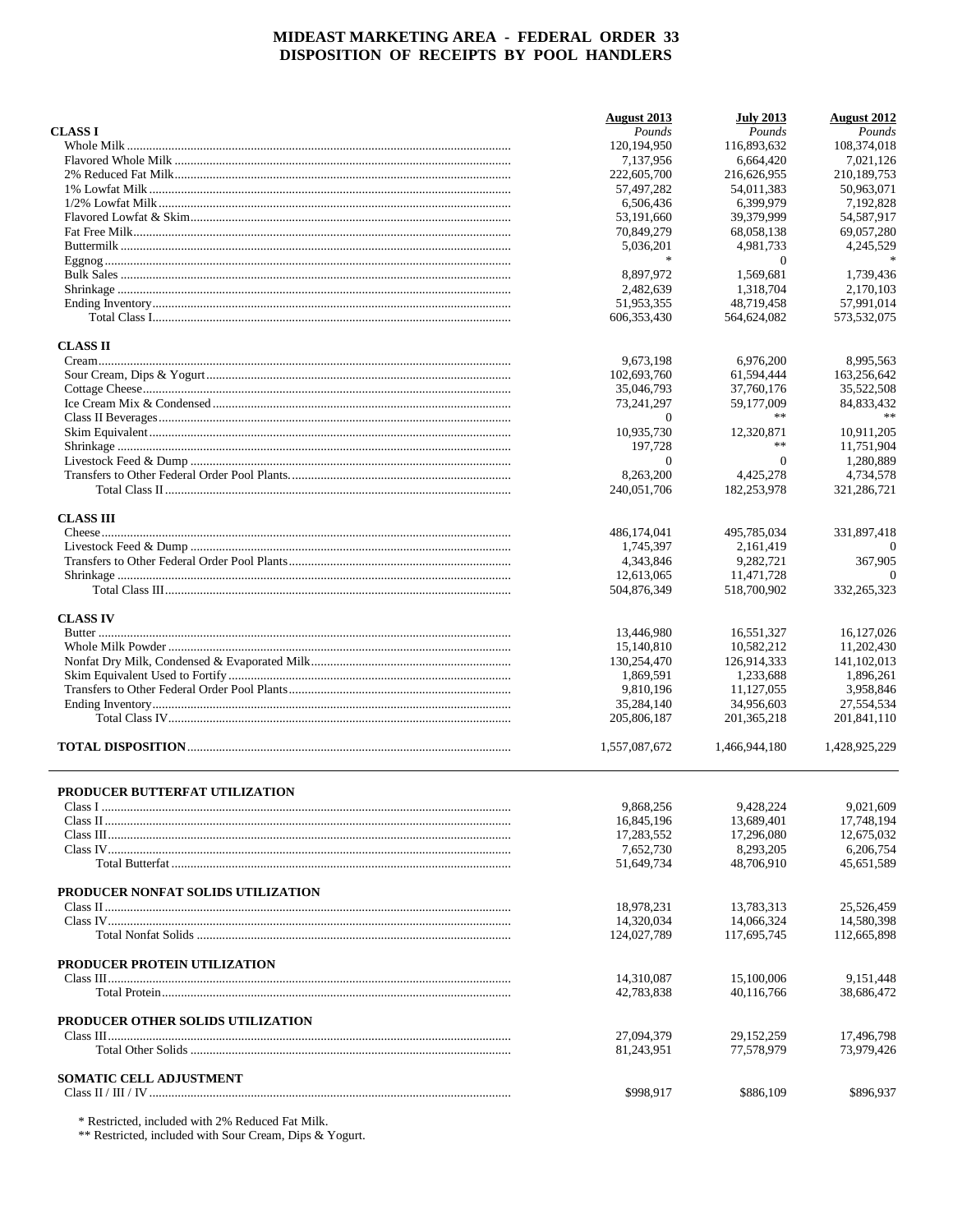|                                    | August 2013                 | <b>July 2013</b>        | <b>August 2012</b>        |
|------------------------------------|-----------------------------|-------------------------|---------------------------|
| <b>CLASS I</b>                     | Pounds                      | Pounds                  | Pounds                    |
|                                    | 120, 194, 950               | 116,893,632             | 108,374,018               |
|                                    | 7,137,956                   | 6,664,420               | 7,021,126                 |
|                                    | 222,605,700                 | 216,626,955             | 210,189,753               |
|                                    | 57,497,282                  | 54,011,383              | 50.963.071                |
|                                    | 6,506,436                   | 6,399,979               | 7,192,828                 |
|                                    | 53,191,660                  | 39,379,999              | 54,587,917                |
|                                    | 70,849,279                  | 68,058,138              | 69,057,280                |
|                                    | 5,036,201<br>宋              | 4,981,733               | 4,245,529<br>$\ast$       |
|                                    |                             | $\theta$                |                           |
|                                    | 8,897,972                   | 1.569.681               | 1,739,436                 |
|                                    | 2,482,639                   | 1,318,704<br>48.719.458 | 2.170.103                 |
|                                    | 51,953,355<br>606, 353, 430 | 564,624,082             | 57,991,014<br>573,532,075 |
| <b>CLASS II</b>                    |                             |                         |                           |
|                                    | 9,673,198                   | 6,976,200               | 8,995,563                 |
|                                    | 102,693,760                 | 61,594,444              | 163,256,642               |
|                                    | 35,046,793                  | 37,760,176              | 35,522,508                |
|                                    | 73,241,297                  | 59,177,009              | 84,833,432                |
|                                    | $\Omega$                    | **                      |                           |
|                                    | 10.935.730                  | 12,320,871              | 10,911,205                |
|                                    | 197,728                     | **                      | 11,751,904                |
|                                    | $\theta$                    | $\overline{0}$          | 1,280,889                 |
|                                    | 8,263,200                   | 4,425,278               | 4,734,578                 |
|                                    | 240,051,706                 | 182,253,978             | 321,286,721               |
| <b>CLASS III</b>                   |                             |                         |                           |
|                                    | 486,174,041                 | 495,785,034             | 331,897,418               |
|                                    | 1,745,397                   | 2,161,419               |                           |
|                                    | 4,343,846                   | 9,282,721               | 367,905                   |
|                                    | 12,613,065                  | 11,471,728              | $\Omega$                  |
|                                    | 504,876,349                 | 518,700,902             | 332, 265, 323             |
| <b>CLASS IV</b>                    |                             |                         |                           |
|                                    | 13,446,980                  | 16,551,327              | 16,127,026                |
|                                    | 15,140,810                  | 10,582,212              | 11,202,430                |
|                                    | 130,254,470                 | 126,914,333             | 141, 102, 013             |
|                                    | 1,869,591                   | 1,233,688               | 1,896,261                 |
|                                    | 9,810,196                   | 11,127,055              | 3,958,846                 |
|                                    | 35,284,140                  | 34,956,603              | 27,554,534                |
|                                    | 205,806,187                 | 201.365.218             | 201,841,110               |
|                                    | 1,557,087,672               | 1,466,944,180           | 1,428,925,229             |
| PRODUCER BUTTERFAT UTILIZATION     |                             |                         |                           |
|                                    | 9,868,256                   | 9,428,224               | 9,021,609                 |
|                                    | 16,845,196                  | 13,689,401              | 17.748.194                |
|                                    | 17,283,552                  | 17,296,080              | 12,675,032                |
|                                    | 7,652,730                   | 8,293,205               | 6,206,754                 |
|                                    | 51,649,734                  | 48,706,910              | 45,651,589                |
| PRODUCER NONFAT SOLIDS UTILIZATION |                             |                         |                           |
|                                    | 18,978,231                  | 13,783,313              | 25,526,459                |
|                                    | 14.320.034                  | 14,066,324              | 14,580,398                |
|                                    | 124,027,789                 | 117,695,745             | 112,665,898               |
| PRODUCER PROTEIN UTILIZATION       |                             |                         |                           |
|                                    | 14,310,087                  | 15,100,006              | 9,151,448                 |
|                                    | 42,783,838                  | 40,116,766              | 38,686,472                |
| PRODUCER OTHER SOLIDS UTILIZATION  |                             |                         |                           |
|                                    | 27,094,379                  | 29,152,259              | 17,496,798                |
|                                    | 81,243,951                  | 77,578,979              | 73,979,426                |
| <b>SOMATIC CELL ADJUSTMENT</b>     |                             |                         |                           |
|                                    | \$998,917                   | \$886,109               | \$896,937                 |

 $\begin{array}{l} \text{*} \text{Restricted, included with 2\% \text{ \textit{Reduced} \textit{ Fat} \textit{Milk.}}\\ \text{**} \text{Restricted, included with } \text{Your Cream, \textit{Dips} \text{ \& } \text{Yogurt.}} \end{array}$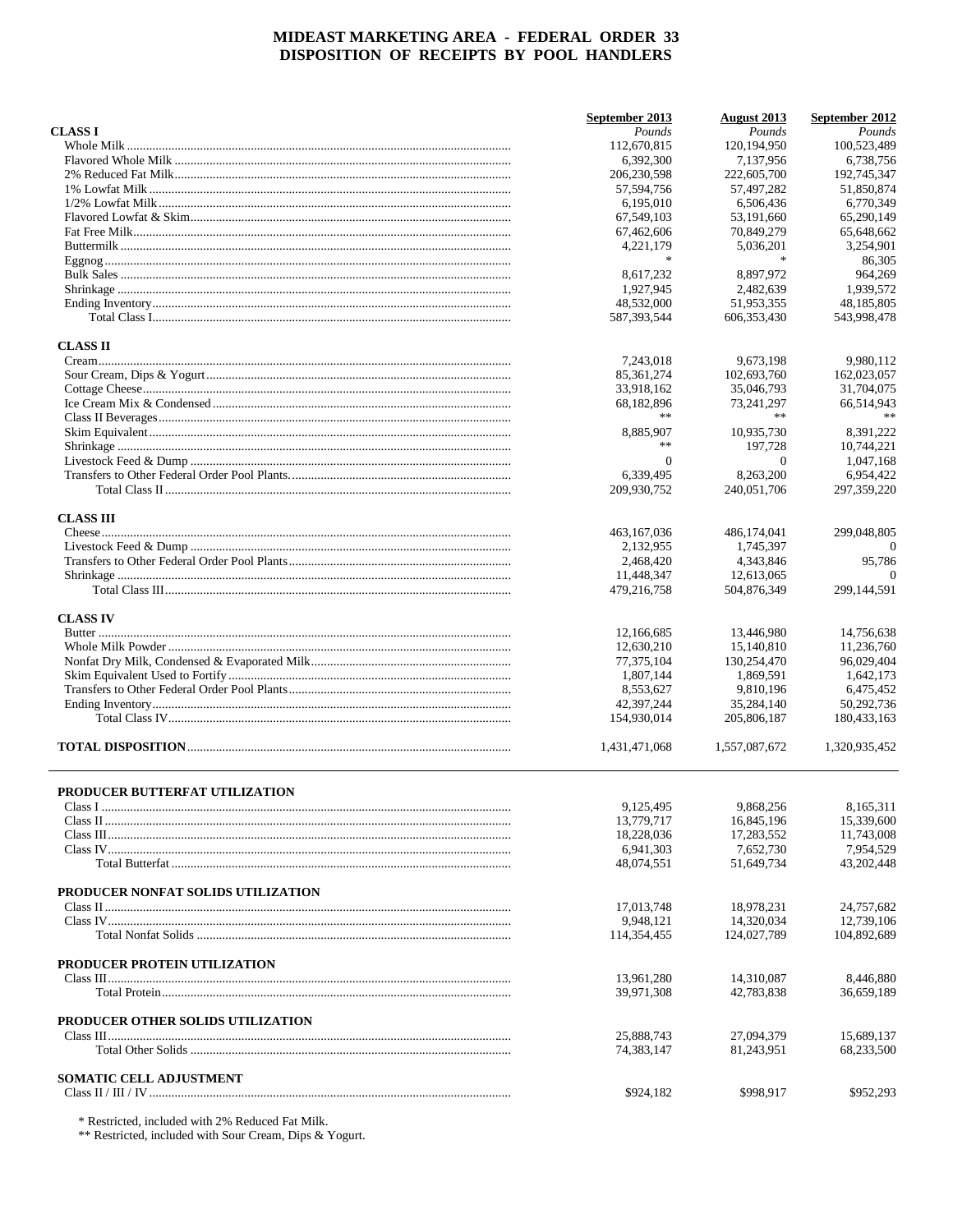|                                    | September 2013      | August 2013         | September 2012 |
|------------------------------------|---------------------|---------------------|----------------|
| <b>CLASS I</b>                     | Pounds              | Pounds              | Pounds         |
|                                    | 112,670,815         | 120, 194, 950       | 100,523,489    |
|                                    | 6,392,300           | 7,137,956           | 6,738,756      |
|                                    | 206,230,598         | 222,605,700         | 192,745,347    |
|                                    | 57,594,756          | 57,497,282          | 51,850,874     |
|                                    | 6,195,010           | 6,506,436           | 6,770,349      |
|                                    | 67,549,103          | 53,191,660          | 65,290,149     |
|                                    | 67,462,606          | 70,849,279          | 65,648,662     |
|                                    | 4,221,179<br>$\ast$ | 5,036,201<br>$\ast$ | 3,254,901      |
|                                    |                     |                     | 86,305         |
|                                    | 8,617,232           | 8,897,972           | 964,269        |
|                                    | 1,927,945           | 2.482.639           | 1,939,572      |
|                                    | 48,532,000          | 51,953,355          | 48,185,805     |
|                                    | 587,393,544         | 606, 353, 430       | 543,998,478    |
| <b>CLASS II</b>                    |                     |                     |                |
|                                    | 7,243,018           | 9,673,198           | 9,980,112      |
|                                    | 85, 361, 274        | 102,693,760         | 162,023,057    |
|                                    | 33,918,162          | 35,046,793          | 31,704,075     |
|                                    | 68,182,896          | 73,241,297          | 66,514,943     |
|                                    |                     | **                  | $\ast\ast$     |
|                                    | 8,885,907           | 10,935,730          | 8.391.222      |
|                                    | **                  | 197,728             | 10,744,221     |
|                                    | $\overline{0}$      | $\overline{0}$      | 1,047,168      |
|                                    | 6,339,495           | 8.263.200           | 6.954.422      |
|                                    | 209,930,752         | 240,051,706         | 297, 359, 220  |
|                                    |                     |                     |                |
| <b>CLASS III</b>                   |                     |                     |                |
|                                    | 463, 167, 036       | 486,174,041         | 299,048,805    |
|                                    | 2,132,955           | 1,745,397           |                |
|                                    | 2,468,420           | 4,343,846           | 95,786         |
|                                    | 11,448,347          | 12,613,065          | $\Omega$       |
|                                    | 479,216,758         | 504,876,349         | 299,144,591    |
|                                    |                     |                     |                |
| <b>CLASS IV</b>                    |                     |                     |                |
|                                    | 12,166,685          | 13,446,980          | 14,756,638     |
|                                    | 12,630,210          | 15,140,810          | 11,236,760     |
|                                    | 77,375,104          | 130,254,470         | 96,029,404     |
|                                    | 1,807,144           | 1,869,591           | 1,642,173      |
|                                    | 8,553,627           | 9,810,196           | 6,475,452      |
|                                    | 42,397,244          | 35,284,140          | 50,292,736     |
|                                    | 154,930,014         | 205,806,187         | 180,433,163    |
|                                    |                     |                     |                |
|                                    | 1,431,471,068       | 1,557,087,672       | 1,320,935,452  |
|                                    |                     |                     |                |
| PRODUCER BUTTERFAT UTILIZATION     |                     |                     |                |
|                                    | 9,125,495           | 9,868,256           | 8,165,311      |
|                                    | 13,779,717          | 16,845,196          | 15,339,600     |
|                                    | 18,228,036          | 17,283,552          | 11,743,008     |
|                                    | 6.941.303           | 7,652,730           | 7,954,529      |
|                                    | 48,074,551          | 51,649,734          | 43,202,448     |
|                                    |                     |                     |                |
| PRODUCER NONFAT SOLIDS UTILIZATION |                     |                     |                |
|                                    | 17,013,748          | 18,978,231          | 24,757,682     |
|                                    | 9,948,121           | 14,320,034          | 12,739,106     |
|                                    | 114,354,455         | 124,027,789         | 104,892,689    |
|                                    |                     |                     |                |
| PRODUCER PROTEIN UTILIZATION       |                     |                     |                |
|                                    | 13,961,280          | 14,310,087          | 8,446,880      |
|                                    | 39,971,308          | 42,783,838          | 36,659,189     |
|                                    |                     |                     |                |
| PRODUCER OTHER SOLIDS UTILIZATION  |                     |                     |                |
|                                    | 25,888,743          | 27,094,379          | 15,689,137     |
|                                    | 74,383,147          | 81,243,951          | 68,233,500     |
|                                    |                     |                     |                |
| <b>SOMATIC CELL ADJUSTMENT</b>     |                     |                     |                |
|                                    | \$924,182           | \$998,917           | \$952,293      |

 $\begin{array}{l} \text{*} \text{Restricted, included with 2\% \text{ \textit{Reduced} \textit{ Fat} \textit{Milk.}}\\ \text{**} \text{Restricted, included with } \text{Your Cream, \textit{Dips} \text{ \& } \text{Yogurt.}} \end{array}$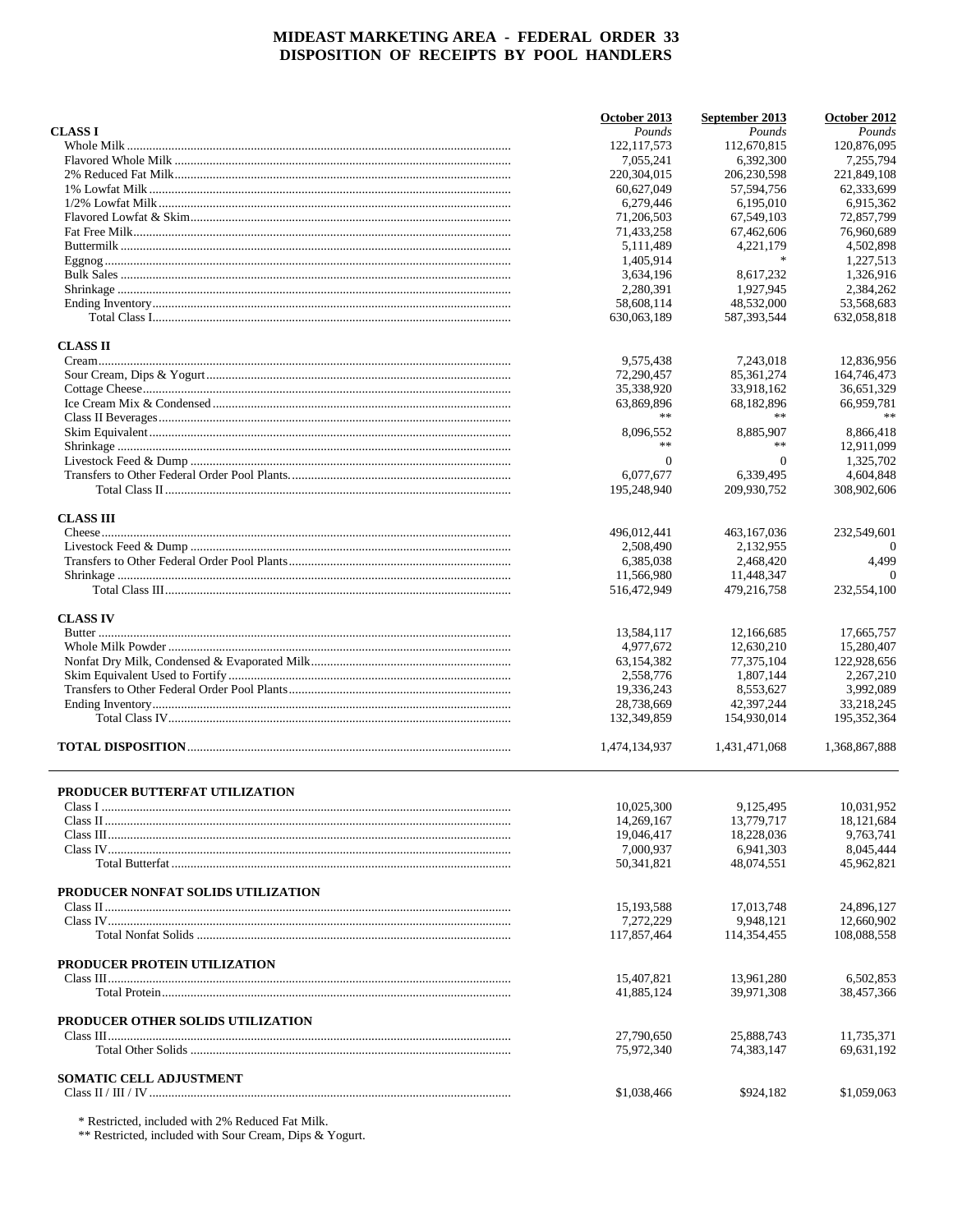|                                    | October 2013           | September 2013         | October 2012           |
|------------------------------------|------------------------|------------------------|------------------------|
| <b>CLASS I</b>                     | Pounds                 | Pounds                 | Pounds                 |
|                                    | 122, 117, 573          | 112,670,815            | 120,876,095            |
|                                    | 7,055,241              | 6,392,300              | 7.255.794              |
|                                    | 220, 304, 015          | 206, 230, 598          | 221,849,108            |
|                                    | 60.627.049             | 57,594,756             | 62,333,699             |
|                                    | 6,279,446              | 6.195.010              | 6.915.362              |
|                                    | 71,206,503             | 67.549.103             | 72,857,799             |
|                                    | 71,433,258             | 67,462,606             | 76,960,689             |
|                                    | 5,111,489<br>1,405,914 | 4,221,179<br>$\ast$    | 4,502,898<br>1,227,513 |
|                                    |                        |                        | 1.326.916              |
|                                    | 3,634,196<br>2,280,391 | 8,617,232<br>1,927,945 | 2,384,262              |
|                                    | 58,608,114             | 48,532,000             | 53,568,683             |
|                                    | 630,063,189            | 587, 393, 544          | 632.058.818            |
| <b>CLASS II</b>                    |                        |                        |                        |
|                                    | 9,575,438              | 7,243,018              | 12,836,956             |
|                                    | 72,290,457             | 85, 361, 274           | 164,746,473            |
|                                    | 35,338,920             | 33,918,162             | 36,651,329             |
|                                    | 63,869,896             | 68,182,896             | 66,959,781             |
|                                    |                        | **                     | $\ast\ast$             |
|                                    | 8,096,552              | 8,885,907              | 8,866,418              |
|                                    | **                     | **                     | 12.911.099             |
|                                    | $\overline{0}$         | $\overline{0}$         | 1,325,702              |
|                                    | 6,077,677              | 6,339,495              | 4,604,848              |
|                                    | 195,248,940            | 209,930,752            | 308,902,606            |
| <b>CLASS III</b>                   |                        |                        |                        |
|                                    | 496,012,441            | 463.167.036            | 232,549,601            |
|                                    | 2,508,490              | 2,132,955              |                        |
|                                    | 6,385,038              | 2,468,420              | 4,499                  |
|                                    | 11,566,980             | 11,448,347             | $\Omega$               |
|                                    | 516,472,949            | 479,216,758            | 232,554,100            |
| <b>CLASS IV</b>                    |                        |                        |                        |
|                                    | 13,584,117             | 12,166,685             | 17,665,757             |
|                                    | 4,977,672              | 12,630,210             | 15,280,407             |
|                                    | 63, 154, 382           | 77,375,104             | 122,928,656            |
|                                    | 2,558,776              | 1,807,144              | 2,267,210              |
|                                    | 19,336,243             | 8,553,627              | 3,992,089              |
|                                    | 28,738,669             | 42,397,244             | 33,218,245             |
|                                    | 132,349,859            | 154,930,014            | 195, 352, 364          |
|                                    | 1,474,134,937          | 1,431,471,068          | 1,368,867,888          |
| PRODUCER BUTTERFAT UTILIZATION     |                        |                        |                        |
|                                    | 10,025,300             | 9,125,495              | 10,031,952             |
|                                    | 14,269,167             | 13,779,717             | 18,121,684             |
|                                    | 19,046,417             | 18,228,036             | 9,763,741              |
|                                    | 7,000,937              | 6.941.303              | 8,045,444              |
|                                    | 50,341,821             | 48,074,551             | 45,962,821             |
| PRODUCER NONFAT SOLIDS UTILIZATION |                        |                        |                        |
|                                    | 15, 193, 588           | 17,013,748             | 24,896,127             |
|                                    | 7,272,229              | 9,948,121              | 12,660,902             |
|                                    | 117,857,464            | 114,354,455            | 108,088,558            |
| PRODUCER PROTEIN UTILIZATION       |                        |                        |                        |
|                                    | 15,407,821             | 13,961,280             | 6,502,853              |
|                                    | 41,885,124             | 39,971,308             | 38,457,366             |
| PRODUCER OTHER SOLIDS UTILIZATION  |                        |                        |                        |
|                                    | 27,790,650             | 25,888,743             | 11,735,371             |
|                                    | 75,972,340             | 74,383,147             | 69,631,192             |
| <b>SOMATIC CELL ADJUSTMENT</b>     |                        |                        |                        |
|                                    | \$1,038,466            | \$924,182              | \$1,059,063            |
|                                    |                        |                        |                        |

 $\begin{array}{l} \text{*} \text{Restricted, included with 2\% \text{ \textit{Reduced} \textit{ Fat} \textit{Milk.}}\\ \text{**} \text{Restricted, included with } \text{Your Cream, \textit{Dips} \text{ \& } \text{Yogurt.}} \end{array}$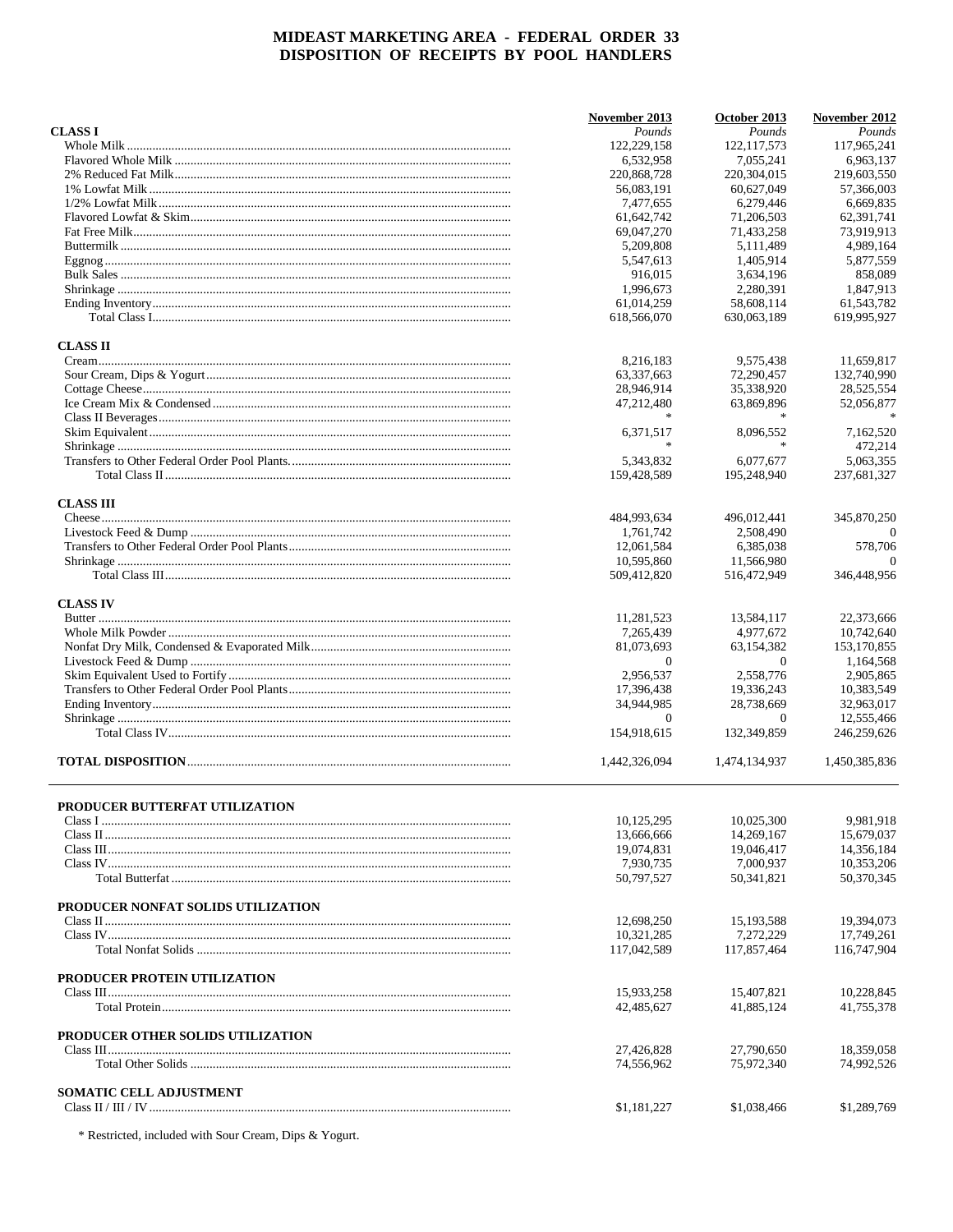|                                     | November 2013             | October 2013              | November 2012               |
|-------------------------------------|---------------------------|---------------------------|-----------------------------|
| <b>CLASS I</b>                      | Pounds                    | Pounds                    | Pounds                      |
|                                     | 122,229,158               | 122, 117, 573             | 117.965.241                 |
|                                     | 6,532,958                 | 7,055,241                 | 6,963,137                   |
|                                     | 220,868,728               | 220,304,015               | 219,603,550                 |
|                                     | 56,083,191                | 60,627,049                | 57,366,003                  |
|                                     | 7.477.655                 | 6,279,446                 | 6,669,835                   |
|                                     | 61,642,742                | 71,206,503                | 62,391,741                  |
|                                     | 69,047,270                | 71,433,258                | 73,919,913                  |
|                                     | 5,209,808                 | 5,111,489                 | 4,989,164                   |
|                                     | 5,547,613                 | 1,405,914                 | 5,877,559                   |
|                                     | 916,015                   | 3,634,196                 | 858,089                     |
|                                     |                           |                           |                             |
|                                     | 1,996,673                 | 2,280,391                 | 1,847,913                   |
|                                     | 61,014,259<br>618,566,070 | 58,608,114<br>630,063,189 | 61, 543, 782<br>619,995,927 |
|                                     |                           |                           |                             |
| <b>CLASS II</b>                     |                           |                           |                             |
|                                     | 8,216,183                 | 9,575,438                 | 11,659,817                  |
|                                     | 63,337,663                | 72,290,457                | 132,740,990                 |
|                                     | 28,946,914                | 35,338,920                | 28,525,554                  |
|                                     | 47,212,480                | 63,869,896                | 52,056,877                  |
|                                     |                           |                           |                             |
|                                     | 6.371.517                 | 8.096.552                 | 7,162,520                   |
|                                     | 宋                         |                           | 472,214                     |
|                                     | 5.343.832                 | 6,077,677                 | 5.063.355                   |
|                                     | 159,428,589               | 195,248,940               | 237,681,327                 |
|                                     |                           |                           |                             |
| <b>CLASS III</b>                    | 484,993,634               | 496,012,441               | 345,870,250                 |
|                                     | 1,761,742                 | 2,508,490                 | $\Omega$                    |
|                                     | 12,061,584                | 6,385,038                 | 578,706                     |
|                                     | 10,595,860                | 11,566,980                | $\Omega$                    |
|                                     | 509,412,820               | 516,472,949               | 346,448,956                 |
|                                     |                           |                           |                             |
| <b>CLASS IV</b>                     |                           |                           |                             |
|                                     | 11,281,523                | 13,584,117                | 22,373,666                  |
|                                     | 7,265,439                 | 4,977,672                 | 10,742,640                  |
|                                     | 81,073,693                | 63,154,382                | 153,170,855                 |
|                                     | $\theta$                  | $\theta$                  | 1,164,568                   |
|                                     | 2,956,537                 | 2,558,776                 | 2,905,865                   |
|                                     | 17,396,438                | 19,336,243                | 10,383,549                  |
|                                     | 34,944,985                | 28,738,669                | 32,963,017                  |
|                                     | $\Omega$                  | $\theta$                  | 12,555,466                  |
|                                     | 154,918,615               | 132,349,859               | 246,259,626                 |
|                                     | 1,442,326,094             | 1.474.134.937             | 1.450.385.836               |
|                                     |                           |                           |                             |
| PRODUCER BUTTERFAT UTILIZATION      |                           |                           |                             |
|                                     | 10,125,295                | 10,025,300                | 9.981,918                   |
|                                     | 13,666,666                | 14,269,167                | 15,679,037                  |
|                                     | 19,074,831                | 19,046,417                | 14,356,184                  |
|                                     | 7,930,735                 | 7,000,937                 | 10,353,206                  |
|                                     | 50,797,527                | 50,341,821                | 50,370,345                  |
|                                     |                           |                           |                             |
| PRODUCER NONFAT SOLIDS UTILIZATION  |                           |                           |                             |
|                                     | 12,698,250                | 15, 193, 588              | 19,394,073                  |
|                                     | 10,321,285                | 7,272,229                 | 17,749,261                  |
|                                     | 117,042,589               | 117,857,464               | 116,747,904                 |
|                                     |                           |                           |                             |
| <b>PRODUCER PROTEIN UTILIZATION</b> |                           |                           |                             |
|                                     | 15,933,258<br>42,485,627  | 15,407,821<br>41,885,124  | 10,228,845<br>41,755,378    |
|                                     |                           |                           |                             |
| PRODUCER OTHER SOLIDS UTILIZATION   |                           |                           |                             |
|                                     | 27,426,828                | 27,790,650                | 18,359,058                  |
|                                     | 74,556,962                | 75,972,340                | 74,992,526                  |
| <b>SOMATIC CELL ADJUSTMENT</b>      |                           |                           |                             |
|                                     | \$1,181,227               | \$1,038,466               | \$1,289,769                 |
|                                     |                           |                           |                             |

 $^\ast$  Restricted, included with Sour Cream, Dips & Yogurt.